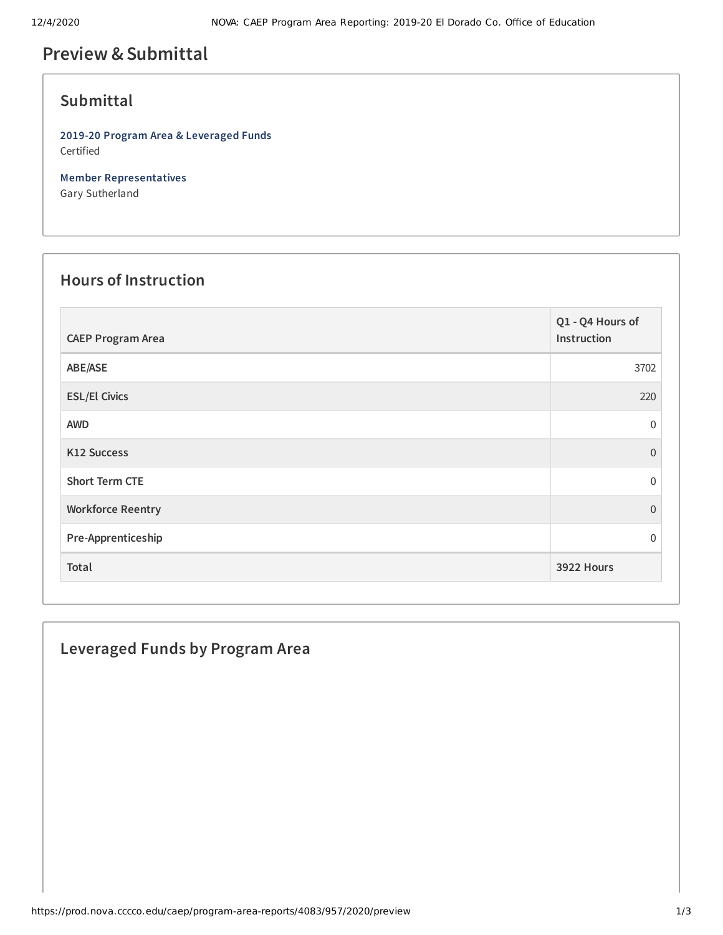# **Preview &Submittal**

### **Submittal**

**2019-20 Program Area & Leveraged Funds** Certified

**Member Representatives** Gary Sutherland

## **Hours of Instruction**

| <b>CAEP Program Area</b> | Q1 - Q4 Hours of<br>Instruction |
|--------------------------|---------------------------------|
| ABE/ASE                  | 3702                            |
| <b>ESL/El Civics</b>     | 220                             |
| <b>AWD</b>               | $\mathbf 0$                     |
| K12 Success              | $\Omega$                        |
| <b>Short Term CTE</b>    | $\Omega$                        |
| <b>Workforce Reentry</b> | $\Omega$                        |
| Pre-Apprenticeship       | $\Omega$                        |
| Total                    | 3922 Hours                      |

## **Leveraged Funds by Program Area**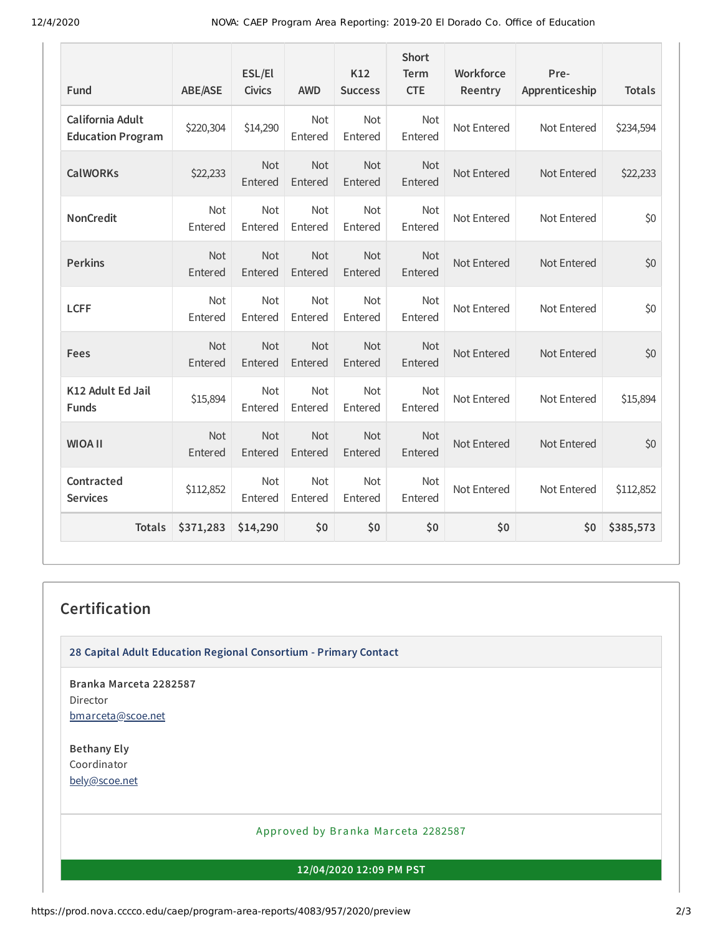| Fund                                         | <b>ABE/ASE</b> | ESL/El<br><b>Civics</b> | <b>AWD</b>            | K12<br><b>Success</b> | <b>Short</b><br><b>Term</b><br><b>CTE</b> | Workforce<br>Reentry | Pre-<br>Apprenticeship | <b>Totals</b> |
|----------------------------------------------|----------------|-------------------------|-----------------------|-----------------------|-------------------------------------------|----------------------|------------------------|---------------|
| California Adult<br><b>Education Program</b> | \$220,304      | \$14,290                | Not<br>Entered        | Not<br>Entered        | Not<br>Entered                            | Not Entered          | Not Entered            | \$234,594     |
| <b>CalWORKs</b>                              | \$22,233       | Not<br>Entered          | Not<br>Entered        | Not<br>Entered        | Not<br>Entered                            | Not Entered          | Not Entered            | \$22,233      |
| <b>NonCredit</b>                             | Not<br>Entered | <b>Not</b><br>Entered   | <b>Not</b><br>Entered | <b>Not</b><br>Entered | Not<br>Entered                            | Not Entered          | Not Entered            | \$0           |
| <b>Perkins</b>                               | Not<br>Entered | Not<br>Entered          | Not<br>Entered        | Not<br>Entered        | Not<br>Entered                            | Not Entered          | Not Entered            | \$0           |
| <b>LCFF</b>                                  | Not<br>Entered | Not<br>Entered          | Not<br>Entered        | Not<br>Entered        | Not<br>Entered                            | Not Entered          | Not Entered            | \$0           |
| Fees                                         | Not<br>Entered | Not<br>Entered          | Not<br>Entered        | Not<br>Entered        | Not<br>Entered                            | Not Entered          | Not Entered            | \$0           |
| K12 Adult Ed Jail<br><b>Funds</b>            | \$15,894       | <b>Not</b><br>Entered   | <b>Not</b><br>Entered | Not<br>Entered        | <b>Not</b><br>Entered                     | Not Entered          | Not Entered            | \$15,894      |
| <b>WIOA II</b>                               | Not<br>Entered | Not<br>Entered          | Not<br>Entered        | Not<br>Entered        | <b>Not</b><br>Entered                     | Not Entered          | Not Entered            | \$0           |
| Contracted<br><b>Services</b>                | \$112,852      | <b>Not</b><br>Entered   | Not<br>Entered        | Not<br>Entered        | Not<br>Entered                            | Not Entered          | Not Entered            | \$112,852     |
| <b>Totals</b>                                | \$371,283      | \$14,290                | \$0                   | \$0                   | \$0                                       | \$0                  | \$0                    | \$385,573     |

# **Certification**

**28 Capital Adult Education Regional Consortium - Primary Contact**

**Branka Marceta 2282587** Director [bmarceta@scoe.net](mailto:bmarceta@scoe.net)

**Bethany Ely** Coordinator [bely@scoe.net](mailto:bely@scoe.net)

#### Approved by Branka Marceta 2282587

**12/04/2020 12:09 PM PST**